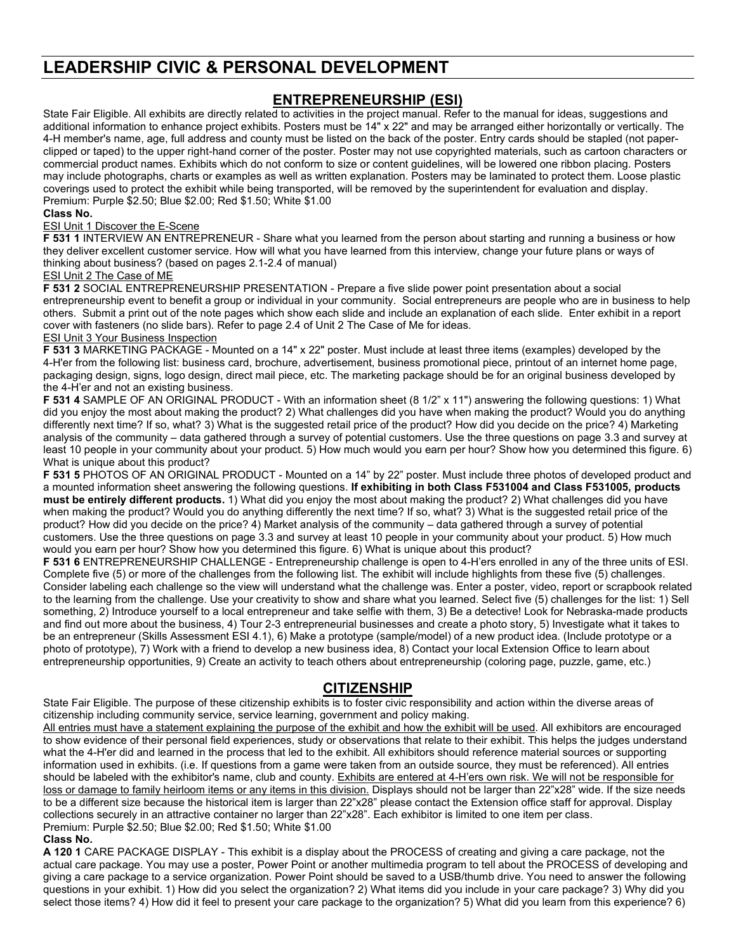# **LEADERSHIP CIVIC & PERSONAL DEVELOPMENT**

## **ENTREPRENEURSHIP (ESI)**

State Fair Eligible. All exhibits are directly related to activities in the project manual. Refer to the manual for ideas, suggestions and additional information to enhance project exhibits. Posters must be 14" x 22" and may be arranged either horizontally or vertically. The 4-H member's name, age, full address and county must be listed on the back of the poster. Entry cards should be stapled (not paperclipped or taped) to the upper right-hand corner of the poster. Poster may not use copyrighted materials, such as cartoon characters or commercial product names. Exhibits which do not conform to size or content guidelines, will be lowered one ribbon placing. Posters may include photographs, charts or examples as well as written explanation. Posters may be laminated to protect them. Loose plastic coverings used to protect the exhibit while being transported, will be removed by the superintendent for evaluation and display. Premium: Purple \$2.50; Blue \$2.00; Red \$1.50; White \$1.00

#### **Class No.**

#### ESI Unit 1 Discover the E-Scene

**F 531 1 INTERVIEW AN ENTREPRENEUR - Share what you learned from the person about starting and running a business or how** they deliver excellent customer service. How will what you have learned from this interview, change your future plans or ways of thinking about business? (based on pages 2.1-2.4 of manual)

#### ESI Unit 2 The Case of ME

**F 531 2** SOCIAL ENTREPRENEURSHIP PRESENTATION - Prepare a five slide power point presentation about a social entrepreneurship event to benefit a group or individual in your community. Social entrepreneurs are people who are in business to help others. Submit a print out of the note pages which show each slide and include an explanation of each slide. Enter exhibit in a report cover with fasteners (no slide bars). Refer to page 2.4 of Unit 2 The Case of Me for ideas. **ESI Unit 3 Your Business Inspection** 

**F 531 3** MARKETING PACKAGE - Mounted on a 14" x 22" poster. Must include at least three items (examples) developed by the 4-H'er from the following list: business card, brochure, advertisement, business promotional piece, printout of an internet home page, packaging design, signs, logo design, direct mail piece, etc. The marketing package should be for an original business developed by the 4-H'er and not an existing business.

**F 531 4** SAMPLE OF AN ORIGINAL PRODUCT - With an information sheet (8 1/2" x 11") answering the following questions: 1) What did you enjoy the most about making the product? 2) What challenges did you have when making the product? Would you do anything differently next time? If so, what? 3) What is the suggested retail price of the product? How did you decide on the price? 4) Marketing analysis of the community – data gathered through a survey of potential customers. Use the three questions on page 3.3 and survey at least 10 people in your community about your product. 5) How much would you earn per hour? Show how you determined this figure. 6) What is unique about this product?

**F 531 5** PHOTOS OF AN ORIGINAL PRODUCT - Mounted on a 14" by 22" poster. Must include three photos of developed product and a mounted information sheet answering the following questions. **If exhibiting in both Class F531004 and Class F531005, products must be entirely different products.** 1) What did you enjoy the most about making the product? 2) What challenges did you have when making the product? Would you do anything differently the next time? If so, what? 3) What is the suggested retail price of the product? How did you decide on the price? 4) Market analysis of the community – data gathered through a survey of potential customers. Use the three questions on page 3.3 and survey at least 10 people in your community about your product. 5) How much would you earn per hour? Show how you determined this figure. 6) What is unique about this product?

**F 531 6** ENTREPRENEURSHIP CHALLENGE - Entrepreneurship challenge is open to 4-H'ers enrolled in any of the three units of ESI. Complete five (5) or more of the challenges from the following list. The exhibit will include highlights from these five (5) challenges. Consider labeling each challenge so the view will understand what the challenge was. Enter a poster, video, report or scrapbook related to the learning from the challenge. Use your creativity to show and share what you learned. Select five (5) challenges for the list: 1) Sell something, 2) Introduce yourself to a local entrepreneur and take selfie with them, 3) Be a detective! Look for Nebraska-made products and find out more about the business, 4) Tour 2-3 entrepreneurial businesses and create a photo story, 5) Investigate what it takes to be an entrepreneur (Skills Assessment ESI 4.1), 6) Make a prototype (sample/model) of a new product idea. (Include prototype or a photo of prototype), 7) Work with a friend to develop a new business idea, 8) Contact your local Extension Office to learn about entrepreneurship opportunities, 9) Create an activity to teach others about entrepreneurship (coloring page, puzzle, game, etc.)

### **CITIZENSHIP**

State Fair Eligible. The purpose of these citizenship exhibits is to foster civic responsibility and action within the diverse areas of citizenship including community service, service learning, government and policy making.

All entries must have a statement explaining the purpose of the exhibit and how the exhibit will be used. All exhibitors are encouraged to show evidence of their personal field experiences, study or observations that relate to their exhibit. This helps the judges understand what the 4-H'er did and learned in the process that led to the exhibit. All exhibitors should reference material sources or supporting information used in exhibits. (i.e. If questions from a game were taken from an outside source, they must be referenced). All entries should be labeled with the exhibitor's name, club and county. Exhibits are entered at 4-H'ers own risk. We will not be responsible for loss or damage to family heirloom items or any items in this division. Displays should not be larger than 22"x28" wide. If the size needs to be a different size because the historical item is larger than 22"x28" please contact the Extension office staff for approval. Display collections securely in an attractive container no larger than 22"x28". Each exhibitor is limited to one item per class. Premium: Purple \$2.50; Blue \$2.00; Red \$1.50; White \$1.00

#### **Class No.**

**A 120 1** CARE PACKAGE DISPLAY - This exhibit is a display about the PROCESS of creating and giving a care package, not the actual care package. You may use a poster, Power Point or another multimedia program to tell about the PROCESS of developing and giving a care package to a service organization. Power Point should be saved to a USB/thumb drive. You need to answer the following questions in your exhibit. 1) How did you select the organization? 2) What items did you include in your care package? 3) Why did you select those items? 4) How did it feel to present your care package to the organization? 5) What did you learn from this experience? 6)